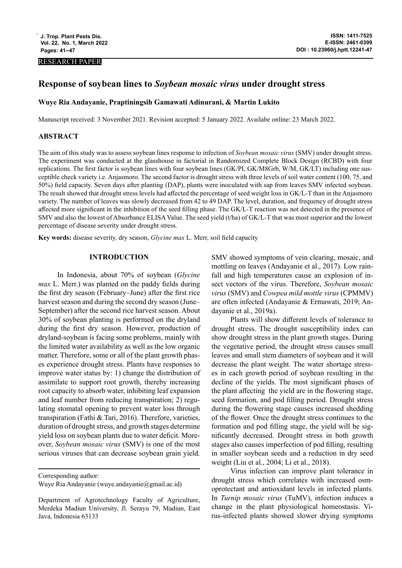#### RESEARCH PAPER

# **Response of soybean lines to** *Soybean mosaic virus* **under drought stress**

#### **Wuye Ria Andayanie, Praptiningsih Gamawati Adinurani, & Martin Lukito**

Manuscript received: 3 November 2021. Revision accepted: 5 January 2022. Availabe online: 23 March 2022.

## **ABSTRACT**

The aim of this study was to assess soybean lines response to infection of *Soybean mosaic virus* (SMV) under drought stress. The experiment was conducted at the glasshouse in factorial in Randomized Complete Block Design (RCBD) with four replications. The first factor is soybean lines with four soybean lines (GK/PI, GK/M8Grb, W/M, GK/LT) including one susceptible check variety i.e. Anjasmoro. The second factor is drought stress with three levels of soil water content (100, 75, and 50%) field capacity. Seven days after planting (DAP), plants were inoculated with sap from leaves SMV infected soybean. The result showed that drought stress levels had affected the percentage of seed weight loss in GK/L-T than in the Anjasmoro variety. The number of leaves was slowly decreased from 42 to 49 DAP. The level, duration, and frequency of drought stress affected more significant in the inhibition of the seed filling phase. The GK/L-T reaction was not detected in the presence of SMV and also the lowest of Absorbance ELISA Value. The seed yield (t/ha) of GK/L-T that was most superior and the lowest percentage of disease severity under drought stress.

**Key words:** disease severity, dry season, *Glycine max* L. Merr, soil field capacity

#### **INTRODUCTION**

In Indonesia, about 70% of soybean (*Glycine max* L. Merr.) was planted on the paddy fields during the first dry season (February–June) after the first rice harvest season and during the second dry season (June– September) after the second rice harvest season. About 30% of soybean planting is performed on the dryland during the first dry season. However, production of dryland-soybean is facing some problems, mainly with the limited water availability as well as the low organic matter. Therefore, some or all of the plant growth phases experience drought stress. Plants have responses to improve water status by: 1) change the distribution of assimilate to support root growth, thereby increasing root capacity to absorb water, inhibiting leaf expansion and leaf number from reducing transpiration; 2) regulating stomatal opening to prevent water loss through transpiration (Fathi & Tari, 2016). Therefore, varieties, duration of drought stress, and growth stages determine yield loss on soybean plants due to water deficit. Moreover, *Soybean mosaic virus* (SMV) is one of the most serious viruses that can decrease soybean grain yield.

SMV showed symptoms of vein clearing, mosaic, and mottling on leaves (Andayanie et al., 2017). Low rainfall and high temperatures cause an explosion of insect vectors of the virus. Therefore, *Soybean mosaic virus* (SMV) and *Cowpea mild mottle virus* (CPMMV) are often infected (Andayanie & Ermawati, 2019; Andayanie et al., 2019a).

Plants will show different levels of tolerance to drought stress. The drought susceptibility index can show drought stress in the plant growth stages. During the vegetative period, the drought stress causes small leaves and small stem diameters of soybean and it will decrease the plant weight. The water shortage stresses in each growth period of soybean resulting in the decline of the yields. The most significant phases of the plant affecting the yield are in the flowering stage, seed formation, and pod filling period. Drought stress during the flowering stage causes increased shedding of the flower. Once the drought stress continues to the formation and pod filling stage, the yield will be significantly decreased. Drought stress in both growth stages also causes imperfection of pod filling, resulting in smaller soybean seeds and a reduction in dry seed weight (Liu et al., 2004; Li et al., 2018).

Virus infection can improve plant tolerance in drought stress which correlates with increased osmoprotectant and antioxidant levels in infected plants. In *Turnip mosaic virus* (TuMV), infection induces a change in the plant physiological homeostasis. Virus-infected plants showed slower drying symptoms

Corresponding author:

Wuye Ria Andayanie (wuye.andayanie@gmail.ac.id)

Department of Agrotechnology Faculty of Agriculture, Merdeka Madiun University, Jl. Serayu 79, Madiun, East Java, Indonesia 63133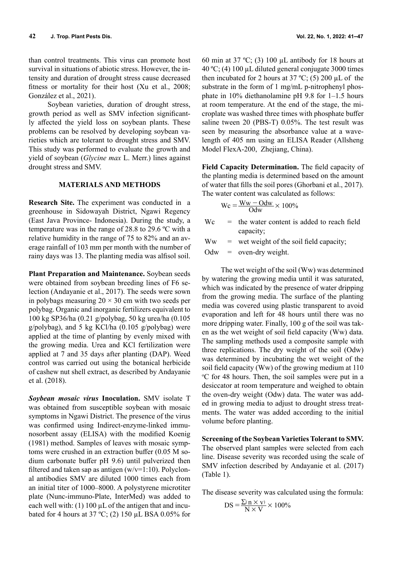than control treatments. This virus can promote host survival in situations of abiotic stress. However, the intensity and duration of drought stress cause decreased fitness or mortality for their host (Xu et al., 2008; González et al., 2021).

Soybean varieties, duration of drought stress, growth period as well as SMV infection significantly affected the yield loss on soybean plants. These problems can be resolved by developing soybean varieties which are tolerant to drought stress and SMV. This study was performed to evaluate the growth and yield of soybean (*Glycine max* L. Merr.) lines against drought stress and SMV.

## **MATERIALS AND METHODS**

**Research Site.** The experiment was conducted in a greenhouse in Sidowayah District, Ngawi Regency (East Java Province- Indonesia). During the study, a temperature was in the range of 28.8 to 29.6 ºC with a relative humidity in the range of 75 to 82% and an average rainfall of 103 mm per month with the number of rainy days was 13. The planting media was alfisol soil.

**Plant Preparation and Maintenance.** Soybean seeds were obtained from soybean breeding lines of F6 selection (Andayanie et al., 2017). The seeds were sown in polybags measuring  $20 \times 30$  cm with two seeds per polybag. Organic and inorganic fertilizers equivalent to 100 kg SP36/ha (0.21 g/polybag, 50 kg urea/ha (0.105 g/polybag), and 5 kg KCl/ha (0.105 g/polybag) were applied at the time of planting by evenly mixed with the growing media. Urea and KCl fertilization were applied at 7 and 35 days after planting (DAP). Weed control was carried out using the botanical herbicide of cashew nut shell extract, as described by Andayanie et al. (2018).

*Soybean mosaic virus* **Inoculation.** SMV isolate T was obtained from susceptible soybean with mosaic symptoms in Ngawi District. The presence of the virus was confirmed using Indirect-enzyme-linked immunosorbent assay (ELISA) with the modified Koenig (1981) method. Samples of leaves with mosaic symptoms were crushed in an extraction buffer (0.05 M sodium carbonate buffer pH 9.6) until pulverized then filtered and taken sap as antigen  $(w/v=1:10)$ . Polyclonal antibodies SMV are diluted 1000 times each from an initial titer of 1000–8000. A polystyrene microtiter plate (Nunc-immuno-Plate, InterMed) was added to each well with:  $(1) 100 \mu L$  of the antigen that and incubated for 4 hours at 37 °C; (2) 150 µL BSA 0.05% for

60 min at 37 °C; (3) 100  $\mu$ L antibody for 18 hours at 40 ºC; (4) 100 µL diluted general conjugate 3000 times then incubated for 2 hours at  $37 \text{ °C}$ ; (5) 200 µL of the substrate in the form of 1 mg/mL p-nitrophenyl phosphate in 10% diethanolamine pH 9.8 for 1–1.5 hours at room temperature. At the end of the stage, the microplate was washed three times with phosphate buffer saline tween 20 (PBS-T) 0.05%. The test result was seen by measuring the absorbance value at a wavelength of 405 nm using an ELISA Reader (Allsheng Model FlexA-200, Zhejiang, China).

**Field Capacity Determination.** The field capacity of the planting media is determined based on the amount of water that fills the soil pores (Ghorbani et al., 2017). The water content was calculated as follows:

$$
Wc = \frac{Ww - Odw}{Odw} \times 100\%
$$

 $Wc =$  the water content is added to reach field capacity;

 $WW =$  wet weight of the soil field capacity;

Odw = oven-dry weight.

The wet weight of the soil (Ww) was determined by watering the growing media until it was saturated, which was indicated by the presence of water dripping from the growing media. The surface of the planting media was covered using plastic transparent to avoid evaporation and left for 48 hours until there was no more dripping water. Finally, 100 g of the soil was taken as the wet weight of soil field capacity (Ww) data. The sampling methods used a composite sample with three replications. The dry weight of the soil (Odw) was determined by incubating the wet weight of the soil field capacity (Ww) of the growing medium at 110 o C for 48 hours. Then, the soil samples were put in a desiccator at room temperature and weighed to obtain the oven-dry weight (Odw) data. The water was added in growing media to adjust to drought stress treatments. The water was added according to the initial volume before planting.

**Screening of the Soybean Varieties Tolerant to SMV.** The observed plant samples were selected from each line. Disease severity was recorded using the scale of SMV infection described by Andayanie et al. (2017) (Table 1).

The disease severity was calculated using the formula:

$$
DS = \frac{\Sigma(n \times v)}{N \times V} \times 100\%
$$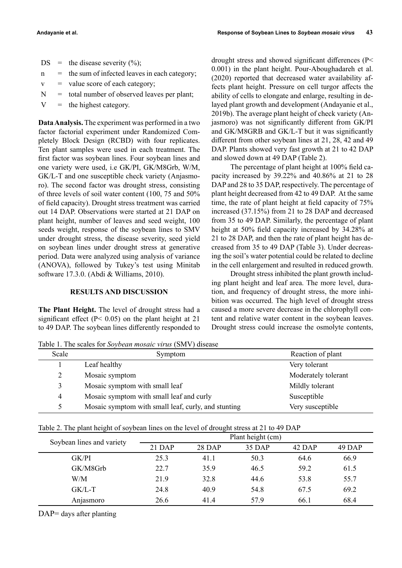|   | $DS =$ the disease severity $(\%);$              |
|---|--------------------------------------------------|
| n | $=$ the sum of infected leaves in each category; |
|   | $v =$ value score of each category;              |

- $N =$  total number of observed leaves per plant;
- $V =$  the highest category.

**Data Analysis.** The experiment was performed in a two factor factorial experiment under Randomized Completely Block Design (RCBD) with four replicates. Ten plant samples were used in each treatment. The first factor was soybean lines. Four soybean lines and one variety were used, i.e GK/PI, GK/M8Grb, W/M, GK/L-T and one susceptible check variety (Anjasmoro). The second factor was drought stress, consisting of three levels of soil water content (100, 75 and 50% of field capacity). Drought stress treatment was carried out 14 DAP. Observations were started at 21 DAP on plant height, number of leaves and seed weight, 100 seeds weight, response of the soybean lines to SMV under drought stress, the disease severity, seed yield on soybean lines under drought stress at generative period. Data were analyzed using analysis of variance (ANOVA), followed by Tukey's test using Minitab software 17.3.0. (Abdi & Williams, 2010).

## **RESULTS AND DISCUSSION**

**The Plant Height.** The level of drought stress had a significant effect (P< 0.05) on the plant height at 21 to 49 DAP. The soybean lines differently responded to

drought stress and showed significant differences (P< 0.001) in the plant height. Pour-Aboughadareh et al. (2020) reported that decreased water availability affects plant height. Pressure on cell turgor affects the ability of cells to elongate and enlarge, resulting in delayed plant growth and development (Andayanie et al., 2019b). The average plant height of check variety (Anjasmoro) was not significantly different from GK/PI and GK/M8GRB and GK/L-T but it was significantly different from other soybean lines at 21, 28, 42 and 49 DAP. Plants showed very fast growth at 21 to 42 DAP and slowed down at 49 DAP (Table 2).

The percentage of plant height at 100% field capacity increased by 39.22% and 40.86% at 21 to 28 DAP and 28 to 35 DAP, respectively. The percentage of plant height decreased from 42 to 49 DAP. At the same time, the rate of plant height at field capacity of 75% increased (37.15%) from 21 to 28 DAP and decreased from 35 to 49 DAP. Similarly, the percentage of plant height at 50% field capacity increased by 34.28% at 21 to 28 DAP, and then the rate of plant height has decreased from 35 to 49 DAP (Table 3). Under decreasing the soil's water potential could be related to decline in the cell enlargement and resulted in reduced growth.

Drought stress inhibited the plant growth including plant height and leaf area. The more level, duration, and frequency of drought stress, the more inhibition was occurred. The high level of drought stress caused a more severe decrease in the chlorophyll content and relative water content in the soybean leaves. Drought stress could increase the osmolyte contents,

Table 1. The scales for *Soybean mosaic virus* (SMV) disease

| Scale          | Symptom                                             | Reaction of plant   |
|----------------|-----------------------------------------------------|---------------------|
|                | Leaf healthy                                        | Very tolerant       |
|                | Mosaic symptom                                      | Moderately tolerant |
| 3              | Mosaic symptom with small leaf                      | Mildly tolerant     |
| $\overline{4}$ | Mosaic symptom with small leaf and curly            | Susceptible         |
| ↖              | Mosaic symptom with small leaf, curly, and stunting | Very susceptible    |

Table 2. The plant height of soybean lines on the level of drought stress at 21 to 49 DAP

| Soybean lines and variety | Plant height (cm) |        |        |        |        |  |  |
|---------------------------|-------------------|--------|--------|--------|--------|--|--|
|                           | $21$ DAP          | 28 DAP | 35 DAP | 42 DAP | 49 DAP |  |  |
| GK/PI                     | 25.3              | 41.1   | 50.3   | 64.6   | 66.9   |  |  |
| GK/M8Grb                  | 22.7              | 35.9   | 46.5   | 59.2   | 61.5   |  |  |
| W/M                       | 21.9              | 32.8   | 44.6   | 53.8   | 55.7   |  |  |
| $GK/L-T$                  | 24.8              | 40.9   | 54.8   | 67.5   | 69.2   |  |  |
| Anjasmoro                 | 26.6              | 41.4   | 57.9   | 66.1   | 68.4   |  |  |

DAP= days after planting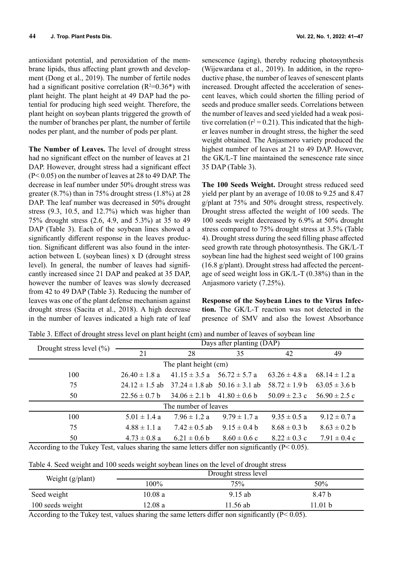antioxidant potential, and peroxidation of the membrane lipids, thus affecting plant growth and development (Dong et al., 2019). The number of fertile nodes had a significant positive correlation  $(R^2=0.36^*)$  with plant height. The plant height at 49 DAP had the potential for producing high seed weight. Therefore, the plant height on soybean plants triggered the growth of the number of branches per plant, the number of fertile nodes per plant, and the number of pods per plant.

**The Number of Leaves.** The level of drought stress had no significant effect on the number of leaves at 21 DAP. However, drought stress had a significant effect (P< 0.05) on the number of leaves at 28 to 49 DAP. The decrease in leaf number under 50% drought stress was greater (8.7%) than in 75% drought stress (1.8%) at 28 DAP. The leaf number was decreased in 50% drought stress (9.3, 10.5, and 12.7%) which was higher than 75% drought stress (2.6, 4.9, and 5.3%) at 35 to 49 DAP (Table 3). Each of the soybean lines showed a significantly different response in the leaves production. Significant different was also found in the interaction between L (soybean lines) x D (drought stress level). In general, the number of leaves had significantly increased since 21 DAP and peaked at 35 DAP, however the number of leaves was slowly decreased from 42 to 49 DAP (Table 3). Reducing the number of leaves was one of the plant defense mechanism against drought stress (Sacita et al., 2018). A high decrease in the number of leaves indicated a high rate of leaf

senescence (aging), thereby reducing photosynthesis (Wijewardana et al., 2019). In addition, in the reproductive phase, the number of leaves of senescent plants increased. Drought affected the acceleration of senescent leaves, which could shorten the filling period of seeds and produce smaller seeds. Correlations between the number of leaves and seed yielded had a weak positive correlation ( $r^2$  = 0.21). This indicated that the higher leaves number in drought stress, the higher the seed weight obtained. The Anjasmoro variety produced the highest number of leaves at 21 to 49 DAP. However, the GK/L-T line maintained the senescence rate since 35 DAP (Table 3).

**The 100 Seeds Weight.** Drought stress reduced seed yield per plant by an average of 10.08 to 9.25 and 8.47 g/plant at 75% and 50% drought stress, respectively. Drought stress affected the weight of 100 seeds. The 100 seeds weight decreased by 6.9% at 50% drought stress compared to 75% drought stress at 3.5% (Table 4). Drought stress during the seed filling phase affected seed growth rate through photosynthesis. The GK/L-T soybean line had the highest seed weight of 100 grains (16.8 g/plant). Drought stress had affected the percentage of seed weight loss in GK/L-T (0.38%) than in the Anjasmoro variety (7.25%).

**Response of the Soybean Lines to the Virus Infection.** The GK/L-T reaction was not detected in the presence of SMV and also the lowest Absorbance

| Drought stress level $(\% )$ | Days after planting (DAP) |                   |                                       |                   |                   |  |  |  |
|------------------------------|---------------------------|-------------------|---------------------------------------|-------------------|-------------------|--|--|--|
|                              | 21                        | 28                | 35                                    | 42                | 49                |  |  |  |
| The plant height (cm)        |                           |                   |                                       |                   |                   |  |  |  |
| 100                          | $26.40 \pm 1.8$ a         | $41.15 \pm 3.5$ a | $56.72 \pm 5.7$ a                     | $63.26 \pm 4.8$ a | 68.14 $\pm$ 1.2 a |  |  |  |
| 75                           | $24.12 \pm 1.5$ ab        |                   | $37.24 \pm 1.8$ ab $50.16 \pm 3.1$ ab | $58.72 \pm 1.9 b$ | $63.05 \pm 3.6 b$ |  |  |  |
| 50                           | $22.56 \pm 0.7$ b         | $34.06 \pm 2.1 b$ | $41.80 \pm 0.6$ b                     | $50.09 \pm 2.3$ c | $56.90 \pm 2.5$ c |  |  |  |
| The number of leaves         |                           |                   |                                       |                   |                   |  |  |  |
| 100                          | $5.01 \pm 1.4$ a          | $7.96 \pm 1.2$ a  | $9.79 \pm 1.7$ a                      | $9.35 \pm 0.5$ a  | $9.12 \pm 0.7$ a  |  |  |  |
| 75                           | $4.88 \pm 1.1 a$          | $7.42 \pm 0.5$ ab | $9.15 \pm 0.4$ b                      | $8.68 \pm 0.3$ b  | $8.63 \pm 0.2 b$  |  |  |  |
| 50                           | $4.73 \pm 0.8$ a          | $6.21 \pm 0.6$ b  | $8.60 \pm 0.6$ c                      | $8.22 \pm 0.3$ c  | $7.91 \pm 0.4$ c  |  |  |  |

According to the Tukey Test, values sharing the same letters differ non significantly  $(P< 0.05)$ .

Table 4. Seed weight and 100 seeds weight soybean lines on the level of drought stress

|                           | Drought stress level |           |         |  |  |
|---------------------------|----------------------|-----------|---------|--|--|
| Weight $(g/\text{plant})$ | 100%                 | 75%       | 50%     |  |  |
| Seed weight               | 10.08a               | $9.15$ ab | 8.47 b  |  |  |
| 100 seeds weight          | 12.08a               | 11.56 ab  | 11.01 b |  |  |

According to the Tukey test, values sharing the same letters differ non significantly  $(P< 0.05)$ .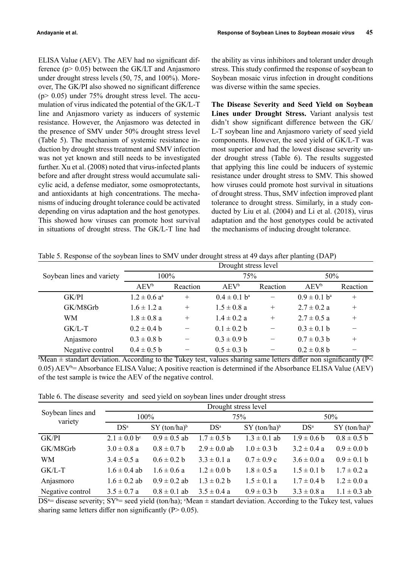ELISA Value (AEV). The AEV had no significant difference  $(p > 0.05)$  between the GK/LT and Anjasmoro under drought stress levels (50, 75, and 100%). Moreover, The GK/PI also showed no significant difference (p> 0.05) under 75% drought stress level. The accumulation of virus indicated the potential of the GK/L-T line and Anjasmoro variety as inducers of systemic resistance. However, the Anjasmoro was detected in the presence of SMV under 50% drought stress level (Table 5). The mechanism of systemic resistance induction by drought stress treatment and SMV infection was not yet known and still needs to be investigated further. Xu et al. (2008) noted that virus-infected plants before and after drought stress would accumulate salicylic acid, a defense mediator, some osmoprotectants, and antioxidants at high concentrations. The mechanisms of inducing drought tolerance could be activated depending on virus adaptation and the host genotypes. This showed how viruses can promote host survival in situations of drought stress. The GK/L-T line had

the ability as virus inhibitors and tolerant under drough stress. This study confirmed the response of soybean to Soybean mosaic virus infection in drought conditions was diverse within the same species.

**The Disease Severity and Seed Yield on Soybean Lines under Drought Stress.** Variant analysis test didn't show significant difference between the GK/ L-T soybean line and Anjasmoro variety of seed yield components. However, the seed yield of GK/L-T was most superior and had the lowest disease severity under drought stress (Table 6). The results suggested that applying this line could be inducers of systemic resistance under drought stress to SMV. This showed how viruses could promote host survival in situations of drought stress. Thus, SMV infection improved plant tolerance to drought stress. Similarly, in a study conducted by Liu et al. (2004) and Li et al. (2018), virus adaptation and the host genotypes could be activated the mechanisms of inducing drought tolerance.

|                           | Drought stress level         |          |                     |                          |                   |          |
|---------------------------|------------------------------|----------|---------------------|--------------------------|-------------------|----------|
| Soybean lines and variety | $100\%$                      |          | 75%                 |                          | 50%               |          |
|                           | $AEV^b$                      | Reaction | $AEV^b$             | Reaction                 | $AEV^b$           | Reaction |
| GK/PI                     | $1.2 \pm 0.6$ a <sup>a</sup> | $^{+}$   | $0.4 \pm 0.1$ $b^a$ |                          | $0.9 \pm 0.1 b^a$ | $^{+}$   |
| GK/M8Grb                  | $1.6 \pm 1.2 a$              | $^{+}$   | $1.5 \pm 0.8$ a     | $^{+}$                   | $2.7 \pm 0.2$ a   | $^{+}$   |
| WM                        | $1.8 \pm 0.8$ a              | $^{+}$   | $1.4 \pm 0.2$ a     | $^{+}$                   | $2.7 \pm 0.5$ a   | $^{+}$   |
| $GK/L-T$                  | $0.2 \pm 0.4 b$              |          | $0.1 \pm 0.2 b$     | $\overline{\phantom{0}}$ | $0.3 \pm 0.1$ b   |          |
| Anjasmoro                 | $0.3 \pm 0.8$ b              |          | $0.3 \pm 0.9 b$     |                          | $0.7 \pm 0.3$ b   | $^{+}$   |
| Negative control          | $0.4 \pm 0.5 b$              |          | $0.5 \pm 0.3$ b     | —                        | $0.2 \pm 0.8$ b   |          |

Table 5. Response of the soybean lines to SMV under drought stress at 49 days after planting (DAP)

<sup>a</sup>Mean  $\pm$  standart deviation. According to the Tukey test, values sharing same letters differ non significantly (P< 0.05) AEV<sup>b</sup> = Absorbance ELISA Value; A positive reaction is determined if the Absorbance ELISA Value (AEV) of the test sample is twice the AEV of the negative control.

Table 6. The disease severity and seed yield on soybean lines under drought stress

|                              | Drought stress level         |                  |                  |                  |                 |                  |  |
|------------------------------|------------------------------|------------------|------------------|------------------|-----------------|------------------|--|
| Soybean lines and<br>variety | 100%                         |                  | 75%              |                  | 50%             |                  |  |
|                              | DS <sup>a</sup>              | $SY (ton/ha)^b$  | DS <sup>a</sup>  | $SY (ton/ha)^b$  | DS <sup>a</sup> | $SY (ton/ha)^b$  |  |
| GK/PI                        | $2.1 \pm 0.0$ b <sup>c</sup> | $0.9 \pm 0.5$ ab | $1.7 \pm 0.5$ b  | $1.3 \pm 0.1$ ab | $1.9 \pm 0.6 b$ | $0.8 \pm 0.5$ b  |  |
| GK/M8Grb                     | $3.0 \pm 0.8$ a              | $0.8 \pm 0.7$ b  | $2.9 \pm 0.0$ ab | $1.0 \pm 0.3 b$  | $3.2 \pm 0.4$ a | $0.9 \pm 0.0 b$  |  |
| WM                           | $3.4 \pm 0.5$ a              | $0.6 \pm 0.2 b$  | $3.3 \pm 0.1$ a  | $0.7 \pm 0.9$ c  | $3.6 \pm 0.0 a$ | $0.9 \pm 0.1$ b  |  |
| GK/L-T                       | $1.6 \pm 0.4$ ab             | $1.6 \pm 0.6$ a  | $1.2 \pm 0.0 b$  | $1.8 \pm 0.5$ a  | $1.5 \pm 0.1$ b | $1.7 \pm 0.2$ a  |  |
| Anjasmoro                    | $1.6 \pm 0.2$ ab             | $0.9 \pm 0.2$ ab | $1.3 \pm 0.2 b$  | $1.5 \pm 0.1$ a  | $1.7 \pm 0.4 b$ | $1.2 \pm 0.0 a$  |  |
| Negative control             | $3.5 \pm 0.7 a$              | $0.8 \pm 0.1$ ab | $3.5 \pm 0.4$ a  | $0.9 \pm 0.3 b$  | $3.3 \pm 0.8$ a | $1.1 \pm 0.3$ ab |  |

 $DS^*$  disease severity;  $SY^{\text{b}}$  seed yield (ton/ha); 'Mean  $\pm$  standart deviation. According to the Tukey test, values sharing same letters differ non significantly  $(P > 0.05)$ .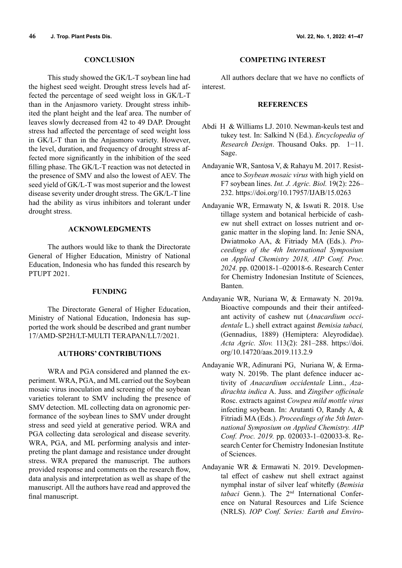#### **CONCLUSION**

This study showed the GK/L-T soybean line had the highest seed weight. Drought stress levels had affected the percentage of seed weight loss in GK/L-T than in the Anjasmoro variety. Drought stress inhibited the plant height and the leaf area. The number of leaves slowly decreased from 42 to 49 DAP. Drought stress had affected the percentage of seed weight loss in GK/L-T than in the Anjasmoro variety. However, the level, duration, and frequency of drought stress affected more significantly in the inhibition of the seed filling phase. The GK/L-T reaction was not detected in the presence of SMV and also the lowest of AEV. The seed yield of GK/L-T was most superior and the lowest disease severity under drought stress. The GK/L-T line had the ability as virus inhibitors and tolerant under drought stress.

## **ACKNOWLEDGMENTS**

The authors would like to thank the Directorate General of Higher Education, Ministry of National Education, Indonesia who has funded this research by PTUPT 2021.

#### **FUNDING**

The Directorate General of Higher Education, Ministry of National Education, Indonesia has supported the work should be described and grant number 17/AMD-SP2H/LT-MULTI TERAPAN/LL7/2021.

## **AUTHORS' CONTRIBUTIONS**

WRA and PGA considered and planned the experiment. WRA, PGA, and ML carried out the Soybean mosaic virus inoculation and screening of the soybean varieties tolerant to SMV including the presence of SMV detection. ML collecting data on agronomic performance of the soybean lines to SMV under drought stress and seed yield at generative period. WRA and PGA collecting data serological and disease severity. WRA, PGA, and ML performing analysis and interpreting the plant damage and resistance under drought stress. WRA prepared the manuscript. The authors provided response and comments on the research flow, data analysis and interpretation as well as shape of the manuscript. All the authors have read and approved the final manuscript.

## **COMPETING INTEREST**

All authors declare that we have no conflicts of interest.

#### **REFERENCES**

- Abdi H & Williams LJ. 2010. Newman-keuls test and tukey test. In: Salkind N (Ed.). *Encyclopedia of Research Design*. Thousand Oaks. pp. 1−11. Sage.
- Andayanie WR, Santosa V, & Rahayu M. 2017. Resistance to *Soybean mosaic virus* with high yield on F7 soybean lines. *Int. J. Agric. Biol.* 19(2): 226– 232. https://doi.org/10.17957/IJAB/15.0263
- Andayanie WR, Ermawaty N, & Iswati R. 2018. Use tillage system and botanical herbicide of cashew nut shell extract on losses nutrient and organic matter in the sloping land. In: Jenie SNA, Dwiatmoko AA, & Fitriady MA (Eds.). *Proceedings of the 4th International Symposium on Applied Chemistry 2018, AIP Conf. Proc. 2024.* pp. 020018-1–020018-6. Research Center for Chemistry Indonesian Institute of Sciences, Banten.
- Andayanie WR, Nuriana W, & Ermawaty N. 2019a. Bioactive compounds and their their antifeedant activity of cashew nut (*Anacardium occidentale* L.) shell extract against *Bemisia tabaci,* (Gennadius, 1889) (Hemiptera: Aleyrodidae). *Acta Agric. Slov.* 113(2): 281–288. https://doi. org/10.14720/aas.2019.113.2.9
- Andayanie WR, Adinurani PG, Nuriana W, & Ermawaty N. 2019b. The plant defence inducer activity of *Anacardium occidentale* Linn., *Azadirachta indica* A. Juss. and *Zingiber officinale* Rosc. extracts against *Cowpea mild mottle virus* infecting soybean. In: Arutanti O, Randy A, & Fitriadi MA (Eds.). *Proceedings of the 5th International Symposium on Applied Chemistry. AIP Conf. Proc. 2019.* pp. 020033-1–020033-8. Research Center for Chemistry Indonesian Institute of Sciences.
- Andayanie WR & Ermawati N. 2019. Developmental effect of cashew nut shell extract against nymphal instar of silver leaf whitefly (*Bemisia tabaci* Genn.). The 2nd International Conference on Natural Resources and Life Science (NRLS). *IOP Conf. Series: Earth and Enviro-*